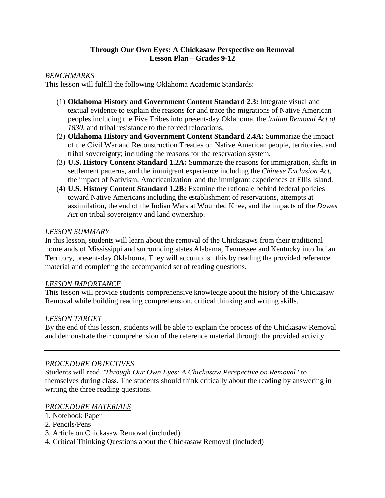### **Through Our Own Eyes: A Chickasaw Perspective on Removal Lesson Plan – Grades 9-12**

### *BENCHMARKS*

This lesson will fulfill the following Oklahoma Academic Standards:

- (1) **Oklahoma History and Government Content Standard 2.3:** Integrate visual and textual evidence to explain the reasons for and trace the migrations of Native American peoples including the Five Tribes into present-day Oklahoma, the *Indian Removal Act of 1830*, and tribal resistance to the forced relocations.
- (2) **Oklahoma History and Government Content Standard 2.4A:** Summarize the impact of the Civil War and Reconstruction Treaties on Native American people, territories, and tribal sovereignty; including the reasons for the reservation system.
- (3) **U.S. History Content Standard 1.2A:** Summarize the reasons for immigration, shifts in settlement patterns, and the immigrant experience including the *Chinese Exclusion Act*, the impact of Nativism, Americanization, and the immigrant experiences at Ellis Island.
- (4) **U.S. History Content Standard 1.2B:** Examine the rationale behind federal policies toward Native Americans including the establishment of reservations, attempts at assimilation, the end of the Indian Wars at Wounded Knee, and the impacts of the *Dawes Act* on tribal sovereignty and land ownership.

### *LESSON SUMMARY*

In this lesson, students will learn about the removal of the Chickasaws from their traditional homelands of Mississippi and surrounding states Alabama, Tennessee and Kentucky into Indian Territory, present-day Oklahoma. They will accomplish this by reading the provided reference material and completing the accompanied set of reading questions.

### *LESSON IMPORTANCE*

This lesson will provide students comprehensive knowledge about the history of the Chickasaw Removal while building reading comprehension, critical thinking and writing skills.

### *LESSON TARGET*

By the end of this lesson, students will be able to explain the process of the Chickasaw Removal and demonstrate their comprehension of the reference material through the provided activity.

# *PROCEDURE OBJECTIVES*

Students will read *"Through Our Own Eyes: A Chickasaw Perspective on Removal"* to themselves during class. The students should think critically about the reading by answering in writing the three reading questions.

# *PROCEDURE MATERIALS*

- 1. Notebook Paper
- 2. Pencils/Pens
- 3. Article on Chickasaw Removal (included)
- 4. Critical Thinking Questions about the Chickasaw Removal (included)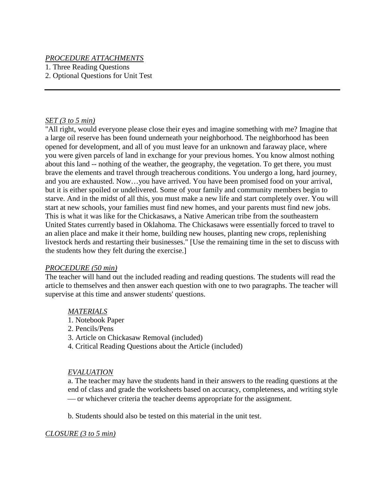### *PROCEDURE ATTACHMENTS*

1. Three Reading Questions

2. Optional Questions for Unit Test

### *SET (3 to 5 min)*

"All right, would everyone please close their eyes and imagine something with me? Imagine that a large oil reserve has been found underneath your neighborhood. The neighborhood has been opened for development, and all of you must leave for an unknown and faraway place, where you were given parcels of land in exchange for your previous homes. You know almost nothing about this land -- nothing of the weather, the geography, the vegetation. To get there, you must brave the elements and travel through treacherous conditions. You undergo a long, hard journey, and you are exhausted. Now…you have arrived. You have been promised food on your arrival, but it is either spoiled or undelivered. Some of your family and community members begin to starve. And in the midst of all this, you must make a new life and start completely over. You will start at new schools, your families must find new homes, and your parents must find new jobs. This is what it was like for the Chickasaws, a Native American tribe from the southeastern United States currently based in Oklahoma. The Chickasaws were essentially forced to travel to an alien place and make it their home, building new houses, planting new crops, replenishing livestock herds and restarting their businesses." [Use the remaining time in the set to discuss with the students how they felt during the exercise.]

### *PROCEDURE (50 min)*

The teacher will hand out the included reading and reading questions. The students will read the article to themselves and then answer each question with one to two paragraphs. The teacher will supervise at this time and answer students' questions.

### *MATERIALS*

- 1. Notebook Paper
- 2. Pencils/Pens
- 3. Article on Chickasaw Removal (included)
- 4. Critical Reading Questions about the Article (included)

### *EVALUATION*

a. The teacher may have the students hand in their answers to the reading questions at the end of class and grade the worksheets based on accuracy, completeness, and writing style or whichever criteria the teacher deems appropriate for the assignment.

b. Students should also be tested on this material in the unit test.

### *CLOSURE (3 to 5 min)*